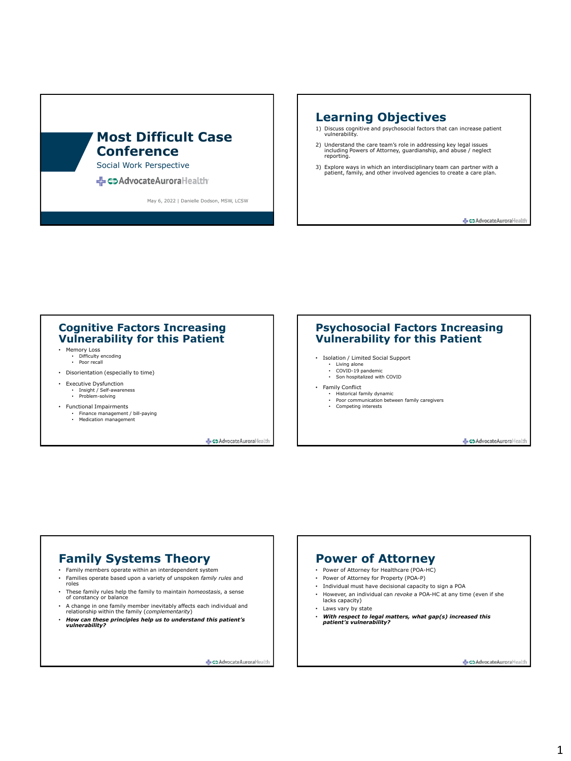# **Most Difficult Case Conference**

Social Work Perspective

<br /> **<br />
CO Advocate Aurora Health** 

May 6, 2022 | Danielle Dodson, MSW, LCSW

### **Learning Objectives**

- 1) Discuss cognitive and psychosocial factors that can increase patient vulnerability.
- 2) Understand the care team's role in addressing key legal issues including Powers of Attorney, guardianship, and abuse / neglect reporting.
- 3) Explore ways in which an interdisciplinary team can partner with a patient, family, and other involved agencies to create a care plan.

CD AdvocateAuroraHealt

#### **Cognitive Factors Increasing Vulnerability for this Patient**

- Memory Loss • Difficulty encoding • Poor recall
- Disorientation (especially to time)
- Executive Dysfunction • Insight / Self-awareness • Problem-solving
- Functional Impairments
	- Finance management / bill-paying • Finance management<br>• Medication management
	-

CoAdvocateAuroraHeal

#### **Psychosocial Factors Increasing Vulnerability for this Patient**

- Isolation / Limited Social Support
	- Living alone COVID-19 pandemic
	- Son hospitalized with COVID
- Family Conflict
- Historical family dynamic
	- Poor communication between family caregivers Competing interests
		-

Co Advocate Auroral·leals

# **Family Systems Theory**

- Family members operate within an interdependent system
- Families operate based upon a variety of unspoken *family rules* and roles
- These family rules help the family to maintain *homeostasis*, a sense of constancy or balance
- A change in one family member inevitably affects each individual and relationship within the family (*complementarity*)
- *How can these principles help us to understand this patient's vulnerability?*

CD Advocate Auroral·leal

### **Power of Attorney**

- Power of Attorney for Healthcare (POA-HC)
- Power of Attorney for Property (POA-P)
- Individual must have decisional capacity to sign a POA • However, an individual can *revoke* a POA-HC at any time (even if she
- lacks capacity)
- Laws vary by state
- *With respect to legal matters, what gap(s) increased this patient's vulnerability?*

CD Advocate Auroral Healt